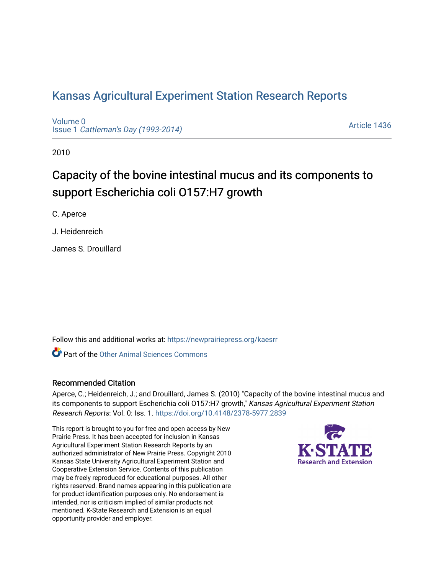# [Kansas Agricultural Experiment Station Research Reports](https://newprairiepress.org/kaesrr)

[Volume 0](https://newprairiepress.org/kaesrr/vol0) Issue 1 [Cattleman's Day \(1993-2014\)](https://newprairiepress.org/kaesrr/vol0/iss1) 

[Article 1436](https://newprairiepress.org/kaesrr/vol0/iss1/1436) 

2010

# Capacity of the bovine intestinal mucus and its components to support Escherichia coli O157:H7 growth

C. Aperce

J. Heidenreich

James S. Drouillard

Follow this and additional works at: [https://newprairiepress.org/kaesrr](https://newprairiepress.org/kaesrr?utm_source=newprairiepress.org%2Fkaesrr%2Fvol0%2Fiss1%2F1436&utm_medium=PDF&utm_campaign=PDFCoverPages) 

**C** Part of the [Other Animal Sciences Commons](http://network.bepress.com/hgg/discipline/82?utm_source=newprairiepress.org%2Fkaesrr%2Fvol0%2Fiss1%2F1436&utm_medium=PDF&utm_campaign=PDFCoverPages)

### Recommended Citation

Aperce, C.; Heidenreich, J.; and Drouillard, James S. (2010) "Capacity of the bovine intestinal mucus and its components to support Escherichia coli 0157:H7 growth," Kansas Agricultural Experiment Station Research Reports: Vol. 0: Iss. 1.<https://doi.org/10.4148/2378-5977.2839>

This report is brought to you for free and open access by New Prairie Press. It has been accepted for inclusion in Kansas Agricultural Experiment Station Research Reports by an authorized administrator of New Prairie Press. Copyright 2010 Kansas State University Agricultural Experiment Station and Cooperative Extension Service. Contents of this publication may be freely reproduced for educational purposes. All other rights reserved. Brand names appearing in this publication are for product identification purposes only. No endorsement is intended, nor is criticism implied of similar products not mentioned. K-State Research and Extension is an equal opportunity provider and employer.

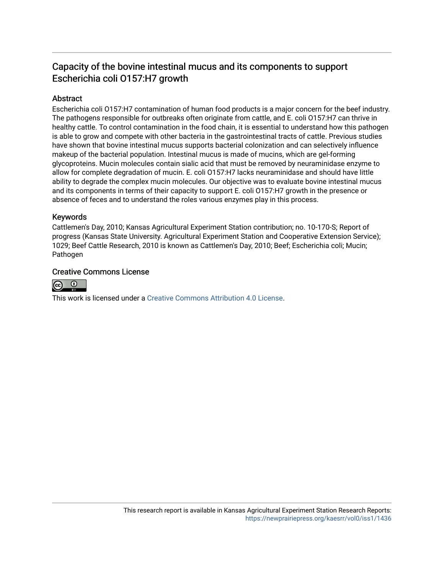# Capacity of the bovine intestinal mucus and its components to support Escherichia coli O157:H7 growth

### Abstract

Escherichia coli O157:H7 contamination of human food products is a major concern for the beef industry. The pathogens responsible for outbreaks often originate from cattle, and E. coli O157:H7 can thrive in healthy cattle. To control contamination in the food chain, it is essential to understand how this pathogen is able to grow and compete with other bacteria in the gastrointestinal tracts of cattle. Previous studies have shown that bovine intestinal mucus supports bacterial colonization and can selectively influence makeup of the bacterial population. Intestinal mucus is made of mucins, which are gel-forming glycoproteins. Mucin molecules contain sialic acid that must be removed by neuraminidase enzyme to allow for complete degradation of mucin. E. coli O157:H7 lacks neuraminidase and should have little ability to degrade the complex mucin molecules. Our objective was to evaluate bovine intestinal mucus and its components in terms of their capacity to support E. coli O157:H7 growth in the presence or absence of feces and to understand the roles various enzymes play in this process.

#### Keywords

Cattlemen's Day, 2010; Kansas Agricultural Experiment Station contribution; no. 10-170-S; Report of progress (Kansas State University. Agricultural Experiment Station and Cooperative Extension Service); 1029; Beef Cattle Research, 2010 is known as Cattlemen's Day, 2010; Beef; Escherichia coli; Mucin; Pathogen

### Creative Commons License



This work is licensed under a [Creative Commons Attribution 4.0 License](https://creativecommons.org/licenses/by/4.0/).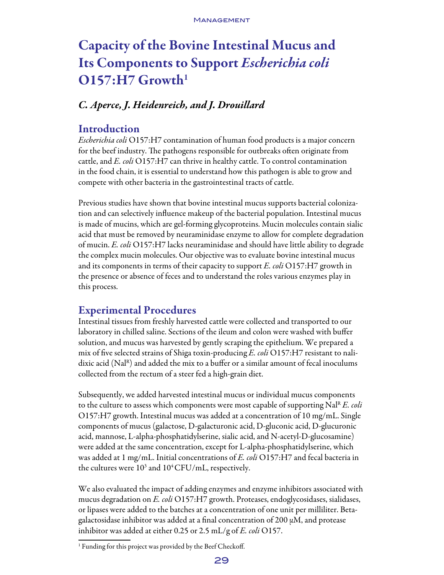# Capacity of the Bovine Intestinal Mucus and Its Components to Support *Escherichia coli*   $O157:H7$  Growth<sup>1</sup>

# *C. Aperce, J. Heidenreich, and J. Drouillard*

## Introduction

*Escherichia coli* O157:H7 contamination of human food products is a major concern for the beef industry. The pathogens responsible for outbreaks often originate from cattle, and *E. coli* O157:H7 can thrive in healthy cattle. To control contamination in the food chain, it is essential to understand how this pathogen is able to grow and compete with other bacteria in the gastrointestinal tracts of cattle.

Previous studies have shown that bovine intestinal mucus supports bacterial colonization and can selectively influence makeup of the bacterial population. Intestinal mucus is made of mucins, which are gel-forming glycoproteins. Mucin molecules contain sialic acid that must be removed by neuraminidase enzyme to allow for complete degradation of mucin. *E. coli* O157:H7 lacks neuraminidase and should have little ability to degrade the complex mucin molecules. Our objective was to evaluate bovine intestinal mucus and its components in terms of their capacity to support *E. coli* O157:H7 growth in the presence or absence of feces and to understand the roles various enzymes play in this process.

## Experimental Procedures

Intestinal tissues from freshly harvested cattle were collected and transported to our laboratory in chilled saline. Sections of the ileum and colon were washed with buffer solution, and mucus was harvested by gently scraping the epithelium. We prepared a mix of five selected strains of Shiga toxin-producing *E. coli* O157:H7 resistant to nalidixic acid ( $\text{Na}^{\text{R}}$ ) and added the mix to a buffer or a similar amount of fecal inoculums collected from the rectum of a steer fed a high-grain diet.

Subsequently, we added harvested intestinal mucus or individual mucus components to the culture to assess which components were most capable of supporting Nal<sup>R</sup> *E. coli* O157:H7 growth. Intestinal mucus was added at a concentration of 10 mg/mL. Single components of mucus (galactose, D-galacturonic acid, D-gluconic acid, D-glucuronic acid, mannose, L-alpha-phosphatidylserine, sialic acid, and N-acetyl-D-glucosamine) were added at the same concentration, except for L-alpha-phosphatidylserine, which was added at 1 mg/mL. Initial concentrations of *E. coli* O157:H7 and fecal bacteria in the cultures were  $10^3$  and  $10^4$ CFU/mL, respectively.

We also evaluated the impact of adding enzymes and enzyme inhibitors associated with mucus degradation on *E. coli* O157:H7 growth. Proteases, endoglycosidases, sialidases, or lipases were added to the batches at a concentration of one unit per milliliter. Betagalactosidase inhibitor was added at a final concentration of 200  $\mu$ M, and protease inhibitor was added at either 0.25 or 2.5 mL/g of *E. coli* O157.

<sup>&</sup>lt;sup>1</sup> Funding for this project was provided by the Beef Checkoff.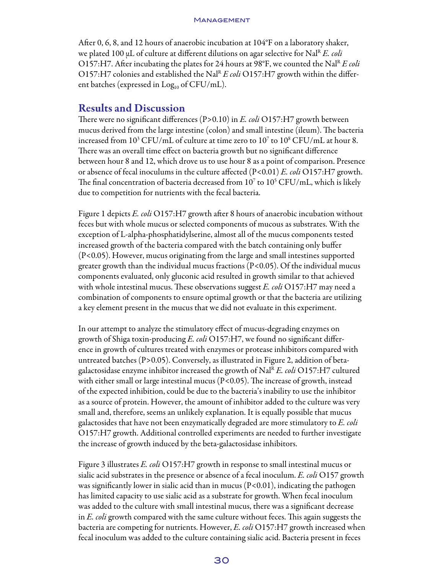#### **MANAGEMENT**

After 0, 6, 8, and 12 hours of anaerobic incubation at 104°F on a laboratory shaker, we plated 100 µL of culture at different dilutions on agar selective for Nal<sup>R</sup> *E. coli* O157:H7. After incubating the plates for 24 hours at 98°F, we counted the Nal<sup>R</sup> E coli O157:H7 colonies and established the Nal<sup>R</sup>  $E$  coli O157:H7 growth within the different batches (expressed in  $Log<sub>10</sub>$  of CFU/mL).

### Results and Discussion

There were no significant differences (P>0.10) in *E. coli* O157:H7 growth between mucus derived from the large intestine (colon) and small intestine (ileum). The bacteria increased from  $10^3$  CFU/mL of culture at time zero to  $10^7$  to  $10^8$  CFU/mL at hour 8. There was an overall time effect on bacteria growth but no significant difference between hour 8 and 12, which drove us to use hour 8 as a point of comparison. Presence or absence of fecal inoculums in the culture affected (P<0.01) *E. coli* O157:H7 growth. The final concentration of bacteria decreased from  $10^7$  to  $10^5$  CFU/mL, which is likely due to competition for nutrients with the fecal bacteria.

Figure 1 depicts *E. coli* O157:H7 growth after 8 hours of anaerobic incubation without feces but with whole mucus or selected components of mucous as substrates. With the exception of L-alpha-phosphatidylserine, almost all of the mucus components tested increased growth of the bacteria compared with the batch containing only buffer (P<0.05). However, mucus originating from the large and small intestines supported greater growth than the individual mucus fractions (P<0.05). Of the individual mucus components evaluated, only gluconic acid resulted in growth similar to that achieved with whole intestinal mucus. These observations suggest *E. coli* O157:H7 may need a combination of components to ensure optimal growth or that the bacteria are utilizing a key element present in the mucus that we did not evaluate in this experiment.

In our attempt to analyze the stimulatory effect of mucus-degrading enzymes on growth of Shiga toxin-producing *E. coli* O157:H7, we found no significant difference in growth of cultures treated with enzymes or protease inhibitors compared with untreated batches (P>0.05). Conversely, as illustrated in Figure 2, addition of betagalactosidase enzyme inhibitor increased the growth of NalR *E. coli* O157:H7 cultured with either small or large intestinal mucus  $(P<0.05)$ . The increase of growth, instead of the expected inhibition, could be due to the bacteria's inability to use the inhibitor as a source of protein. However, the amount of inhibitor added to the culture was very small and, therefore, seems an unlikely explanation. It is equally possible that mucus galactosides that have not been enzymatically degraded are more stimulatory to *E. coli* O157:H7 growth. Additional controlled experiments are needed to further investigate the increase of growth induced by the beta-galactosidase inhibitors.

Figure 3 illustrates *E. coli* O157:H7 growth in response to small intestinal mucus or sialic acid substrates in the presence or absence of a fecal inoculum. *E. coli* O157 growth was significantly lower in sialic acid than in mucus  $(P<0.01)$ , indicating the pathogen has limited capacity to use sialic acid as a substrate for growth. When fecal inoculum was added to the culture with small intestinal mucus, there was a significant decrease in *E. coli* growth compared with the same culture without feces. This again suggests the bacteriaare competing for nutrients. However, *E. coli* O157:H7 growth increased when fecal inoculum was added to the culture containing sialic acid. Bacteria present in feces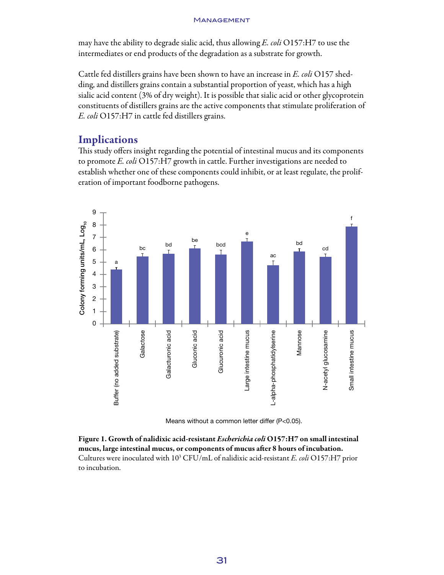#### **MANAGEMENT**

may have the ability to degrade sialic acid, thus allowing *E. coli* O157:H7 to use the intermediates or end products of the degradation as a substrate for growth.

Cattle fed distillers grains have been shown to have an increase in *E. coli* O157 shedding, and distillers grains contain a substantial proportion of yeast, which has a high sialic acid content (3% of dry weight). It is possible that sialic acid or other glycoprotein constituents of distillers grains are the active components that stimulate proliferation of *E. coli* O157:H7 in cattle fed distillers grains.

## **Implications**

This study offers insight regarding the potential of intestinal mucus and its components to promote *E. coli* O157:H7 growth in cattle. Further investigations are needed to establish whether one of these components could inhibit, or at least regulate, the proliferation of important foodborne pathogens.



Figure 1. Growth of nalidixic acid-resistant *Escherichia coli* O157:H7 on small intestinal mucus, large intestinal mucus, or components of mucus after 8 hours of incubation. Cultures were inoculated with 103 CFU/mL of nalidixic acid-resistant *E. coli* O157:H7 prior to incubation.